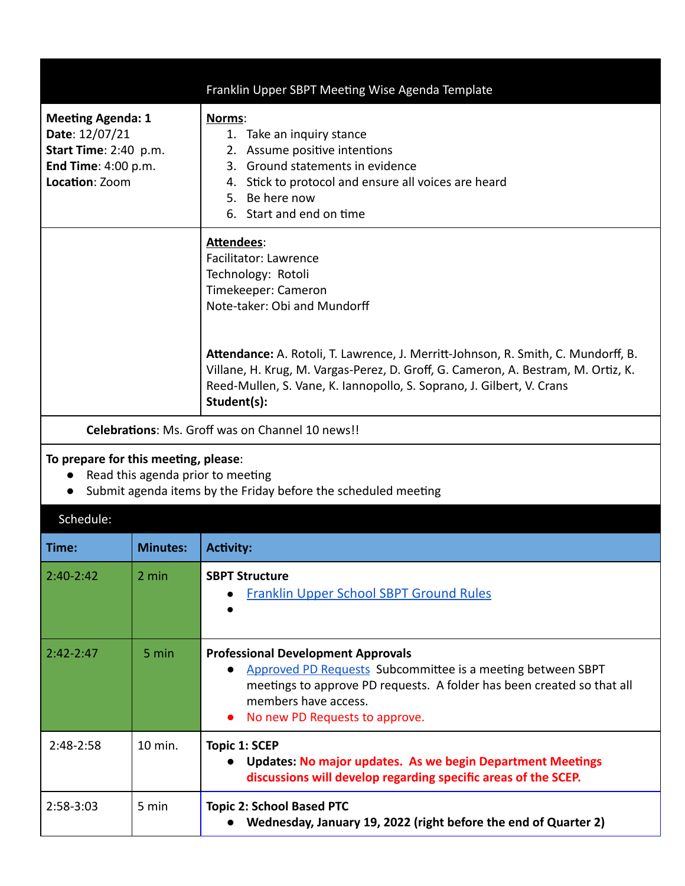|                                                                                                                                             |                 | Franklin Upper SBPT Meeting Wise Agenda Template                                                                                                                                                                                                               |  |  |  |
|---------------------------------------------------------------------------------------------------------------------------------------------|-----------------|----------------------------------------------------------------------------------------------------------------------------------------------------------------------------------------------------------------------------------------------------------------|--|--|--|
| <b>Meeting Agenda: 1</b><br>Date: 12/07/21<br>Start Time: 2:40 p.m.<br>End Time: 4:00 p.m.<br>Location: Zoom                                |                 | Norms:<br>1. Take an inquiry stance<br>2. Assume positive intentions<br>3. Ground statements in evidence<br>4. Stick to protocol and ensure all voices are heard<br>5. Be here now<br>6. Start and end on time                                                 |  |  |  |
|                                                                                                                                             |                 | Attendees:<br><b>Facilitator: Lawrence</b><br>Technology: Rotoli<br>Timekeeper: Cameron<br>Note-taker: Obi and Mundorff                                                                                                                                        |  |  |  |
|                                                                                                                                             |                 | Attendance: A. Rotoli, T. Lawrence, J. Merritt-Johnson, R. Smith, C. Mundorff, B.<br>Villane, H. Krug, M. Vargas-Perez, D. Groff, G. Cameron, A. Bestram, M. Ortiz, K.<br>Reed-Mullen, S. Vane, K. Iannopollo, S. Soprano, J. Gilbert, V. Crans<br>Student(s): |  |  |  |
|                                                                                                                                             |                 | <b>Celebrations: Ms. Groff was on Channel 10 news!!</b>                                                                                                                                                                                                        |  |  |  |
| To prepare for this meeting, please:<br>Read this agenda prior to meeting<br>Submit agenda items by the Friday before the scheduled meeting |                 |                                                                                                                                                                                                                                                                |  |  |  |
| Schedule:                                                                                                                                   |                 |                                                                                                                                                                                                                                                                |  |  |  |
| Time:                                                                                                                                       | <b>Minutes:</b> | <b>Activity:</b>                                                                                                                                                                                                                                               |  |  |  |
| $2:40-2:42$                                                                                                                                 | 2 min           | <b>SBPT Structure</b><br><b>Franklin Upper School SBPT Ground Rules</b>                                                                                                                                                                                        |  |  |  |
| $2:42 - 2:47$                                                                                                                               | 5 min           | <b>Professional Development Approvals</b><br>Approved PD Requests Subcommittee is a meeting between SBPT<br>$\bullet$<br>meetings to approve PD requests. A folder has been created so that all<br>members have access.<br>No new PD Requests to approve.      |  |  |  |
| 2:48-2:58                                                                                                                                   | 10 min.         | <b>Topic 1: SCEP</b><br><b>Updates: No major updates. As we begin Department Meetings</b>                                                                                                                                                                      |  |  |  |

**discussions will develop regarding specific areas of the SCEP.**

**● Wednesday, January 19, 2022 (right before the end of Quarter 2)**

2:58-3:03 5 min **Topic 2: School Based PTC**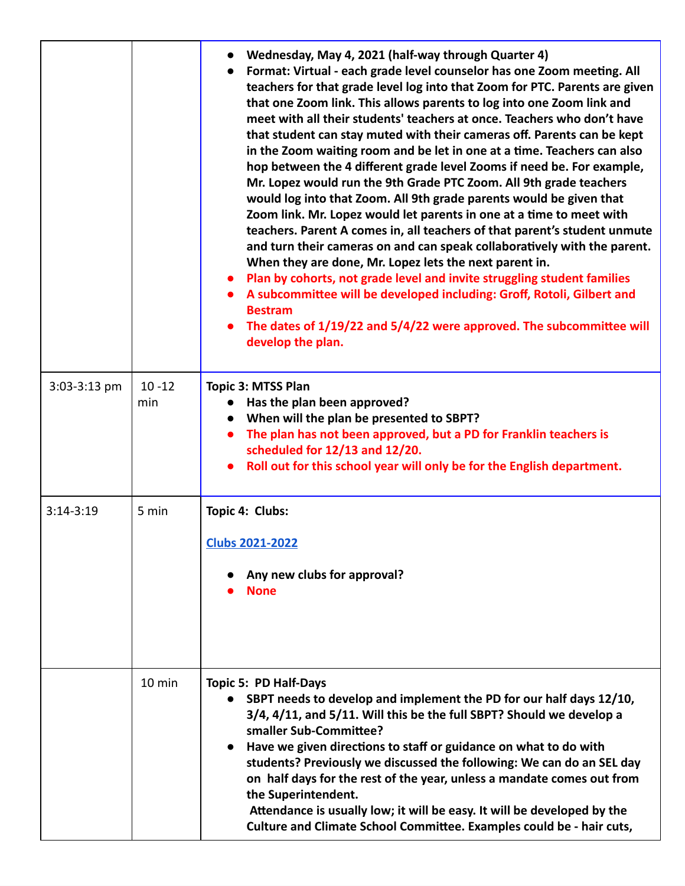|                |                  | Wednesday, May 4, 2021 (half-way through Quarter 4)<br>Format: Virtual - each grade level counselor has one Zoom meeting. All<br>teachers for that grade level log into that Zoom for PTC. Parents are given<br>that one Zoom link. This allows parents to log into one Zoom link and<br>meet with all their students' teachers at once. Teachers who don't have<br>that student can stay muted with their cameras off. Parents can be kept<br>in the Zoom waiting room and be let in one at a time. Teachers can also<br>hop between the 4 different grade level Zooms if need be. For example,<br>Mr. Lopez would run the 9th Grade PTC Zoom. All 9th grade teachers<br>would log into that Zoom. All 9th grade parents would be given that<br>Zoom link. Mr. Lopez would let parents in one at a time to meet with<br>teachers. Parent A comes in, all teachers of that parent's student unmute<br>and turn their cameras on and can speak collaboratively with the parent.<br>When they are done, Mr. Lopez lets the next parent in.<br>Plan by cohorts, not grade level and invite struggling student families<br>A subcommittee will be developed including: Groff, Rotoli, Gilbert and<br><b>Bestram</b><br>The dates of 1/19/22 and 5/4/22 were approved. The subcommittee will<br>develop the plan. |
|----------------|------------------|--------------------------------------------------------------------------------------------------------------------------------------------------------------------------------------------------------------------------------------------------------------------------------------------------------------------------------------------------------------------------------------------------------------------------------------------------------------------------------------------------------------------------------------------------------------------------------------------------------------------------------------------------------------------------------------------------------------------------------------------------------------------------------------------------------------------------------------------------------------------------------------------------------------------------------------------------------------------------------------------------------------------------------------------------------------------------------------------------------------------------------------------------------------------------------------------------------------------------------------------------------------------------------------------------------------|
| $3:03-3:13$ pm | $10 - 12$<br>min | <b>Topic 3: MTSS Plan</b><br>Has the plan been approved?<br>When will the plan be presented to SBPT?<br>The plan has not been approved, but a PD for Franklin teachers is<br>$\bullet$<br>scheduled for 12/13 and 12/20.<br>Roll out for this school year will only be for the English department.                                                                                                                                                                                                                                                                                                                                                                                                                                                                                                                                                                                                                                                                                                                                                                                                                                                                                                                                                                                                           |
| $3:14 - 3:19$  | 5 min            | Topic 4: Clubs:<br><b>Clubs 2021-2022</b><br>Any new clubs for approval?<br><b>None</b>                                                                                                                                                                                                                                                                                                                                                                                                                                                                                                                                                                                                                                                                                                                                                                                                                                                                                                                                                                                                                                                                                                                                                                                                                      |
|                | 10 min           | <b>Topic 5: PD Half-Days</b><br>SBPT needs to develop and implement the PD for our half days 12/10,<br>3/4, 4/11, and 5/11. Will this be the full SBPT? Should we develop a<br>smaller Sub-Committee?<br>Have we given directions to staff or guidance on what to do with<br>students? Previously we discussed the following: We can do an SEL day<br>on half days for the rest of the year, unless a mandate comes out from<br>the Superintendent.<br>Attendance is usually low; it will be easy. It will be developed by the<br>Culture and Climate School Committee. Examples could be - hair cuts,                                                                                                                                                                                                                                                                                                                                                                                                                                                                                                                                                                                                                                                                                                       |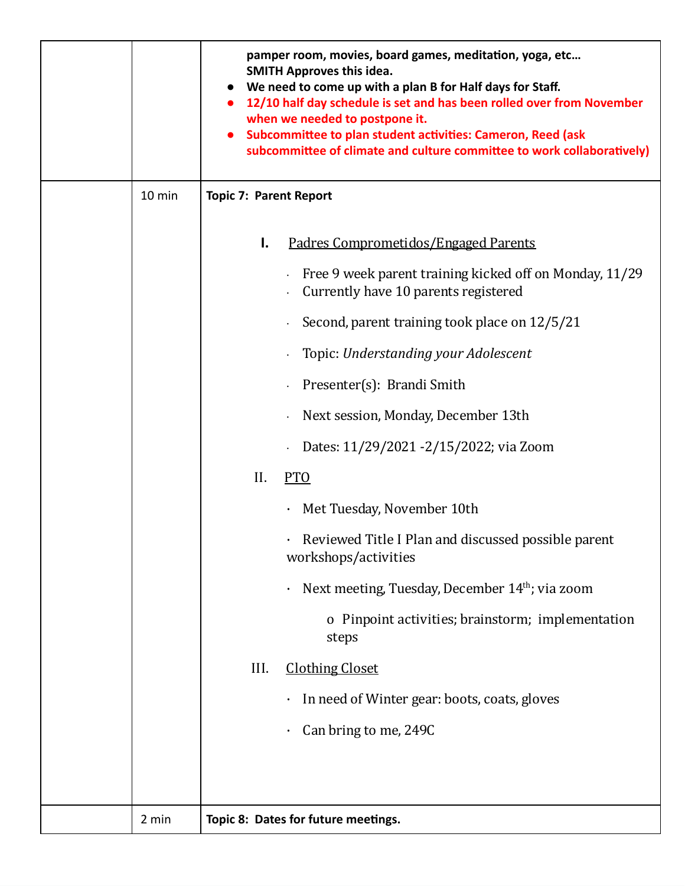|        |                               | pamper room, movies, board games, meditation, yoga, etc<br><b>SMITH Approves this idea.</b><br>We need to come up with a plan B for Half days for Staff.<br>12/10 half day schedule is set and has been rolled over from November<br>when we needed to postpone it.<br>Subcommittee to plan student activities: Cameron, Reed (ask<br>subcommittee of climate and culture committee to work collaboratively) |  |
|--------|-------------------------------|--------------------------------------------------------------------------------------------------------------------------------------------------------------------------------------------------------------------------------------------------------------------------------------------------------------------------------------------------------------------------------------------------------------|--|
| 10 min | <b>Topic 7: Parent Report</b> |                                                                                                                                                                                                                                                                                                                                                                                                              |  |
|        | Ι.                            | Padres Comprometidos/Engaged Parents                                                                                                                                                                                                                                                                                                                                                                         |  |
|        |                               | Free 9 week parent training kicked off on Monday, $11/29$<br>Currently have 10 parents registered                                                                                                                                                                                                                                                                                                            |  |
|        |                               | Second, parent training took place on 12/5/21                                                                                                                                                                                                                                                                                                                                                                |  |
|        |                               | Topic: Understanding your Adolescent                                                                                                                                                                                                                                                                                                                                                                         |  |
|        |                               | Presenter(s): Brandi Smith                                                                                                                                                                                                                                                                                                                                                                                   |  |
|        |                               | Next session, Monday, December 13th                                                                                                                                                                                                                                                                                                                                                                          |  |
|        |                               | Dates: 11/29/2021 - 2/15/2022; via Zoom                                                                                                                                                                                                                                                                                                                                                                      |  |
|        | II.                           | <b>PTO</b>                                                                                                                                                                                                                                                                                                                                                                                                   |  |
|        |                               | Met Tuesday, November 10th                                                                                                                                                                                                                                                                                                                                                                                   |  |
|        |                               | · Reviewed Title I Plan and discussed possible parent<br>workshops/activities                                                                                                                                                                                                                                                                                                                                |  |
|        |                               | Next meeting, Tuesday, December 14 <sup>th</sup> ; via zoom                                                                                                                                                                                                                                                                                                                                                  |  |
|        |                               | o Pinpoint activities; brainstorm; implementation<br>steps                                                                                                                                                                                                                                                                                                                                                   |  |
|        | III.                          | <b>Clothing Closet</b>                                                                                                                                                                                                                                                                                                                                                                                       |  |
|        |                               | In need of Winter gear: boots, coats, gloves                                                                                                                                                                                                                                                                                                                                                                 |  |
|        |                               | Can bring to me, 249C                                                                                                                                                                                                                                                                                                                                                                                        |  |
|        |                               |                                                                                                                                                                                                                                                                                                                                                                                                              |  |
| 2 min  |                               | Topic 8: Dates for future meetings.                                                                                                                                                                                                                                                                                                                                                                          |  |